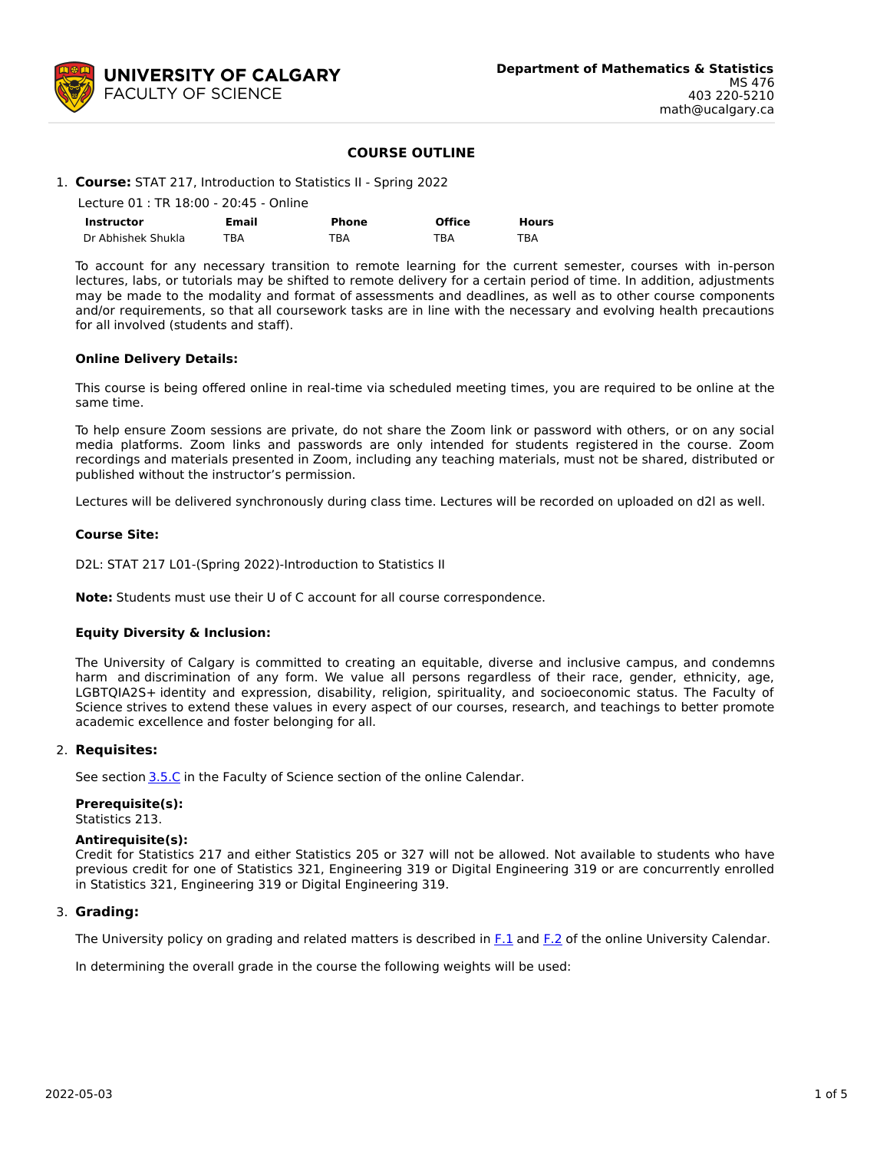

## **COURSE OUTLINE**

# 1. **Course:** STAT 217, Introduction to Statistics II - Spring 2022

| Lecture 01 : TR 18:00 - 20:45 - Online |       |       |               |              |  |  |
|----------------------------------------|-------|-------|---------------|--------------|--|--|
| Instructor                             | Email | Phone | <b>Office</b> | <b>Hours</b> |  |  |
| Dr Abhishek Shukla                     | TBA   | TBA   | TBA           | TBA          |  |  |

To account for any necessary transition to remote learning for the current semester, courses with in-person lectures, labs, or tutorials may be shifted to remote delivery for a certain period of time. In addition, adjustments may be made to the modality and format of assessments and deadlines, as well as to other course components and/or requirements, so that all coursework tasks are in line with the necessary and evolving health precautions for all involved (students and staff).

#### **Online Delivery Details:**

This course is being offered online in real-time via scheduled meeting times, you are required to be online at the same time.

To help ensure Zoom sessions are private, do not share the Zoom link or password with others, or on any social media platforms. Zoom links and passwords are only intended for students registered in the course. Zoom recordings and materials presented in Zoom, including any teaching materials, must not be shared, distributed or published without the instructor's permission.

Lectures will be delivered synchronously during class time. Lectures will be recorded on uploaded on d2l as well.

## **Course Site:**

D2L: STAT 217 L01-(Spring 2022)-Introduction to Statistics II

**Note:** Students must use their U of C account for all course correspondence.

#### **Equity Diversity & Inclusion:**

The University of Calgary is committed to creating an equitable, diverse and inclusive campus, and condemns harm and discrimination of any form. We value all persons regardless of their race, gender, ethnicity, age, LGBTQIA2S+ identity and expression, disability, religion, spirituality, and socioeconomic status. The Faculty of Science strives to extend these values in every aspect of our courses, research, and teachings to better promote academic excellence and foster belonging for all.

#### 2. **Requisites:**

See section [3.5.C](http://www.ucalgary.ca/pubs/calendar/current/sc-3-5.html) in the Faculty of Science section of the online Calendar.

## **Prerequisite(s):**

Statistics 213.

#### **Antirequisite(s):**

Credit for Statistics 217 and either Statistics 205 or 327 will not be allowed. Not available to students who have previous credit for one of Statistics 321, Engineering 319 or Digital Engineering 319 or are concurrently enrolled in Statistics 321, Engineering 319 or Digital Engineering 319.

#### 3. **Grading:**

The University policy on grading and related matters is described in [F.1](http://www.ucalgary.ca/pubs/calendar/current/f-1.html) and [F.2](http://www.ucalgary.ca/pubs/calendar/current/f-2.html) of the online University Calendar.

In determining the overall grade in the course the following weights will be used: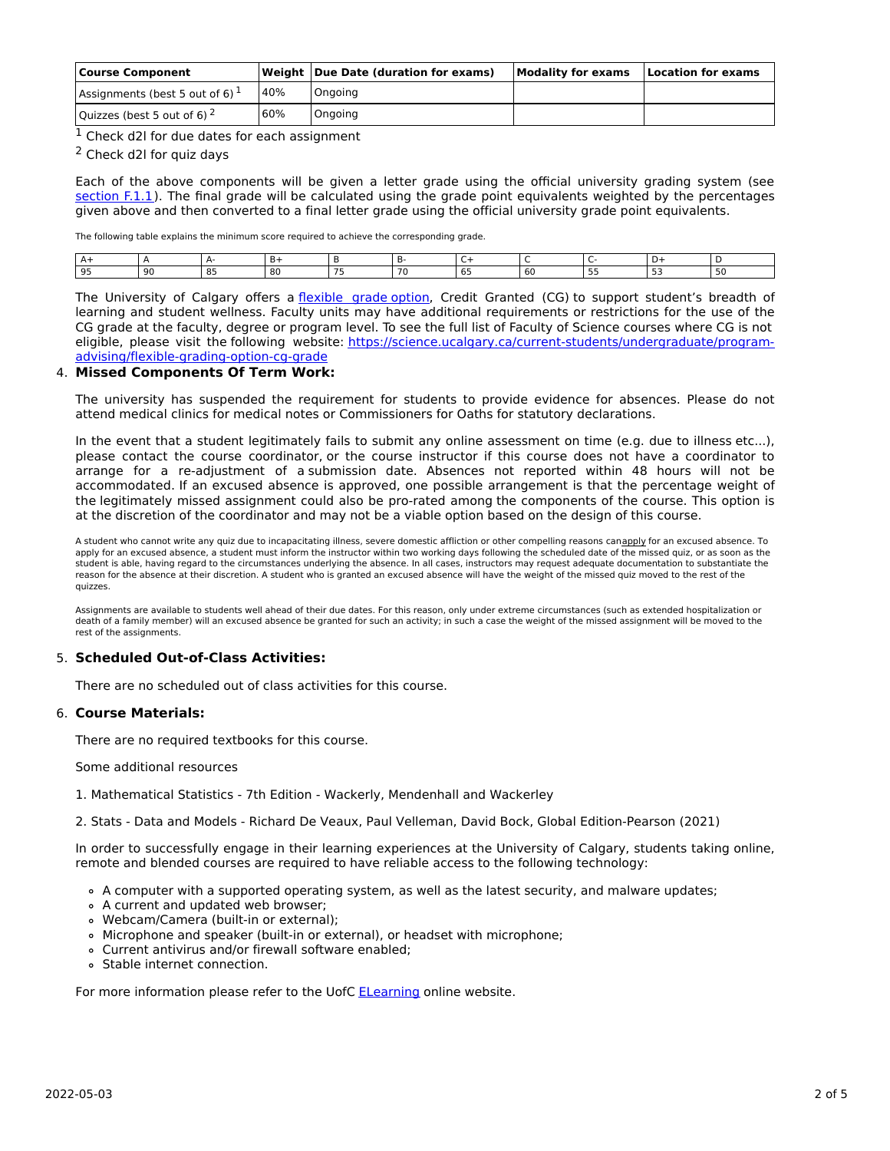| <b>Course Component</b>            |     | <b>Weight Due Date (duration for exams)</b> | Modality for exams | <b>Location for exams</b> |
|------------------------------------|-----|---------------------------------------------|--------------------|---------------------------|
| Assignments (best 5 out of 6) $^1$ | 40% | Ongoing                                     |                    |                           |
| Quizzes (best 5 out of 6) $^2$     | 60% | Ongoing                                     |                    |                           |

 $1$  Check d2l for due dates for each assignment

<sup>2</sup> Check d2l for quiz days

Each of the above components will be given a letter grade using the official university grading system (see [section](https://www.ucalgary.ca/pubs/calendar/current/f-1-1.html) F.1.1). The final grade will be calculated using the grade point equivalents weighted by the percentages given above and then converted to a final letter grade using the official university grade point equivalents.

The following table explains the minimum score required to achieve the corresponding grade.

| .          |    |   |          |  |  |  |  |
|------------|----|---|----------|--|--|--|--|
| $^{\circ}$ | ۵ı | n | $\cdots$ |  |  |  |  |

The University of Calgary offers a [flexible](https://www.ucalgary.ca/pubs/calendar/current/f-1-3.html) grade option, Credit Granted (CG) to support student's breadth of learning and student wellness. Faculty units may have additional requirements or restrictions for the use of the CG grade at the faculty, degree or program level. To see the full list of Faculty of Science courses where CG is not eligible, please visit the following website: [https://science.ucalgary.ca/current-students/undergraduate/program](https://science.ucalgary.ca/current-students/undergraduate/program-advising/flexible-grading-option-cg-grade)advising/flexible-grading-option-cg-grade

#### 4. **Missed Components Of Term Work:**

The university has suspended the requirement for students to provide evidence for absences. Please do not attend medical clinics for medical notes or Commissioners for Oaths for statutory declarations.

In the event that a student legitimately fails to submit any online assessment on time (e.g. due to illness etc...), please contact the course coordinator, or the course instructor if this course does not have a coordinator to arrange for a re-adjustment of a submission date. Absences not reported within 48 hours will not be accommodated. If an excused absence is approved, one possible arrangement is that the percentage weight of the legitimately missed assignment could also be pro-rated among the components of the course. This option is at the discretion of the coordinator and may not be a viable option based on the design of this course.

A student who cannot write any quiz due to incapacitating illness, severe domestic affliction or other compelling reasons canapply for an excused absence. To apply for an excused absence, a student must inform the instructor within two working days following the scheduled date of the missed quiz, or as soon as the student is able, having regard to the circumstances underlying the absence. In all cases, instructors may request adequate documentation to substantiate the reason for the absence at their discretion. A student who is granted an excused absence will have the weight of the missed quiz moved to the rest of the quizzes.

Assignments are available to students well ahead of their due dates. For this reason, only under extreme circumstances (such as extended hospitalization or death of a family member) will an excused absence be granted for such an activity; in such a case the weight of the missed assignment will be moved to the rest of the assignments.

## 5. **Scheduled Out-of-Class Activities:**

There are no scheduled out of class activities for this course.

#### 6. **Course Materials:**

There are no required textbooks for this course.

Some additional resources

1. Mathematical Statistics - 7th Edition - Wackerly, Mendenhall and Wackerley

2. Stats - Data and Models - Richard De Veaux, Paul Velleman, David Bock, Global Edition-Pearson (2021)

In order to successfully engage in their learning experiences at the University of Calgary, students taking online, remote and blended courses are required to have reliable access to the following technology:

- A computer with a supported operating system, as well as the latest security, and malware updates;
- A current and updated web browser;
- Webcam/Camera (built-in or external);
- Microphone and speaker (built-in or external), or headset with microphone;
- Current antivirus and/or firewall software enabled;
- Stable internet connection.

For more information please refer to the UofC [ELearning](https://elearn.ucalgary.ca/technology-requirements-for-students) online website.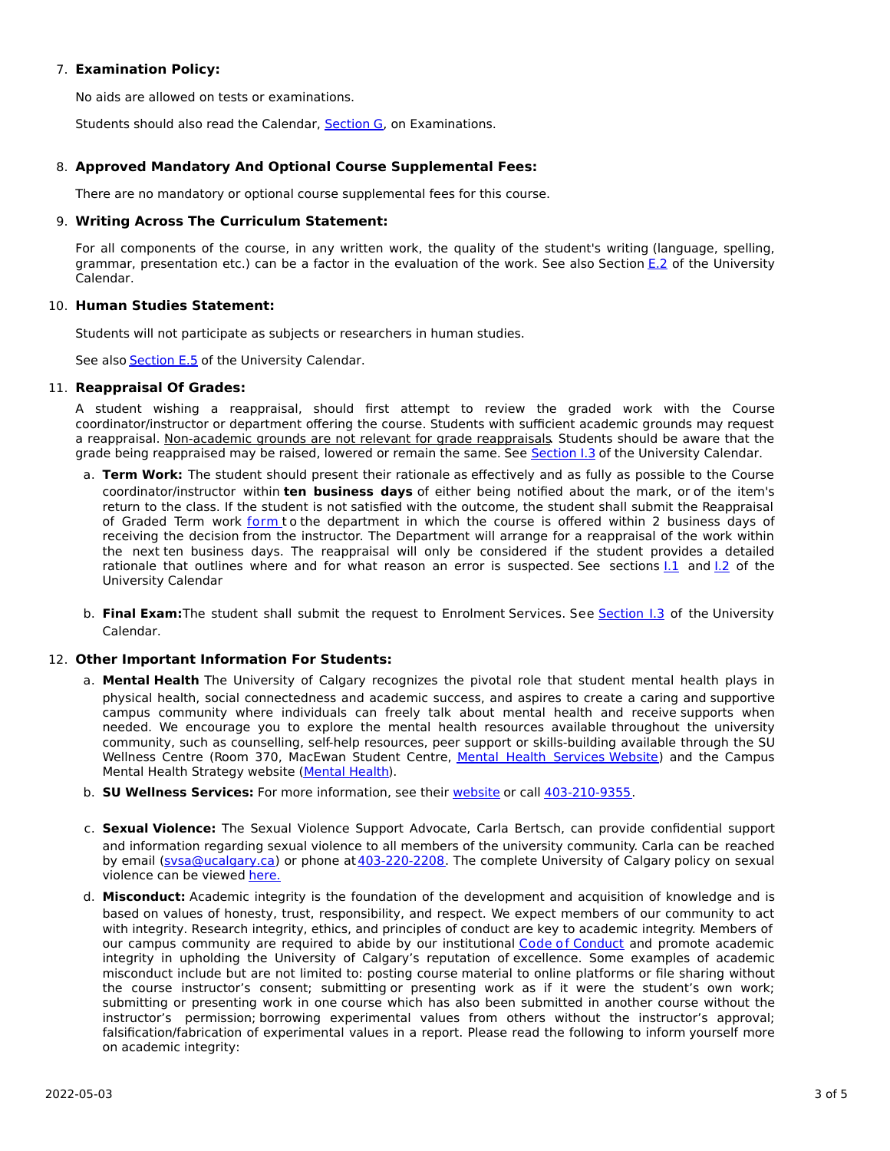# 7. **Examination Policy:**

No aids are allowed on tests or examinations.

Students should also read the Calendar, [Section](http://www.ucalgary.ca/pubs/calendar/current/g.html) G, on Examinations.

# 8. **Approved Mandatory And Optional Course Supplemental Fees:**

There are no mandatory or optional course supplemental fees for this course.

## 9. **Writing Across The Curriculum Statement:**

For all components of the course, in any written work, the quality of the student's writing (language, spelling, grammar, presentation etc.) can be a factor in the evaluation of the work. See also Section [E.2](http://www.ucalgary.ca/pubs/calendar/current/e-2.html) of the University Calendar.

## 10. **Human Studies Statement:**

Students will not participate as subjects or researchers in human studies.

See also **[Section](http://www.ucalgary.ca/pubs/calendar/current/e-5.html) E.5** of the University Calendar.

## 11. **Reappraisal Of Grades:**

A student wishing a reappraisal, should first attempt to review the graded work with the Course coordinator/instructor or department offering the course. Students with sufficient academic grounds may request a reappraisal. Non-academic grounds are not relevant for grade reappraisals. Students should be aware that the grade being reappraised may be raised, lowered or remain the same. See [Section](http://www.ucalgary.ca/pubs/calendar/current/i-3.html) I.3 of the University Calendar.

- a. **Term Work:** The student should present their rationale as effectively and as fully as possible to the Course coordinator/instructor within **ten business days** of either being notified about the mark, or of the item's return to the class. If the student is not satisfied with the outcome, the student shall submit the Reappraisal of Graded Term work [form](https://science.ucalgary.ca/sites/default/files/teams/1/Reappraisal_Termwork_2021.pdf) to the department in which the course is offered within 2 business days of receiving the decision from the instructor. The Department will arrange for a reappraisal of the work within the next ten business days. The reappraisal will only be considered if the student provides a detailed rationale that outlines where and for what reason an error is suspected. See sections  $1.1$  and  $1.2$  of the University Calendar
- b. **Final Exam:**The student shall submit the request to Enrolment Services. See [Section](http://www.ucalgary.ca/pubs/calendar/current/i-3.html) I.3 of the University Calendar.

## 12. **Other Important Information For Students:**

- a. **Mental Health** The University of Calgary recognizes the pivotal role that student mental health plays in physical health, social connectedness and academic success, and aspires to create a caring and supportive campus community where individuals can freely talk about mental health and receive supports when needed. We encourage you to explore the mental health resources available throughout the university community, such as counselling, self-help resources, peer support or skills-building available through the SU Wellness Centre (Room 370, MacEwan Student Centre, Mental Health [Services](https://www.ucalgary.ca/wellnesscentre/services/mental-health-services) Website) and the Campus Mental Health Strategy website [\(Mental](http://www.ucalgary.ca/mentalhealth) Health).
- b. **SU Wellness Services:** For more information, see their [website](http://www.ucalgary.ca/wellnesscentre) or call [403-210-9355](tel:4032109355).
- c. **Sexual Violence:** The Sexual Violence Support Advocate, Carla Bertsch, can provide confidential support and information regarding sexual violence to all members of the university community. Carla can be reached by email [\(svsa@ucalgary.ca](mailto:svsa@ucalgary.ca)) or phone at [403-220-2208](tel:4032202208). The complete University of Calgary policy on sexual violence can be viewed [here.](https://www.ucalgary.ca/legal-services/sites/default/files/teams/1/Policies-Sexual-and-Gender-Based-Violence-Policy.pdf)
- d. **Misconduct:** Academic integrity is the foundation of the development and acquisition of knowledge and is based on values of honesty, trust, responsibility, and respect. We expect members of our community to act with integrity. Research integrity, ethics, and principles of conduct are key to academic integrity. Members of our campus community are required to abide by our institutional Code of [Conduct](https://www.ucalgary.ca/legal-services/sites/default/files/teams/1/Policies-Code-of-Conduct.pdf) and promote academic integrity in upholding the University of Calgary's reputation of excellence. Some examples of academic misconduct include but are not limited to: posting course material to online platforms or file sharing without the course instructor's consent; submitting or presenting work as if it were the student's own work; submitting or presenting work in one course which has also been submitted in another course without the instructor's permission; borrowing experimental values from others without the instructor's approval; falsification/fabrication of experimental values in a report. Please read the following to inform yourself more on academic integrity: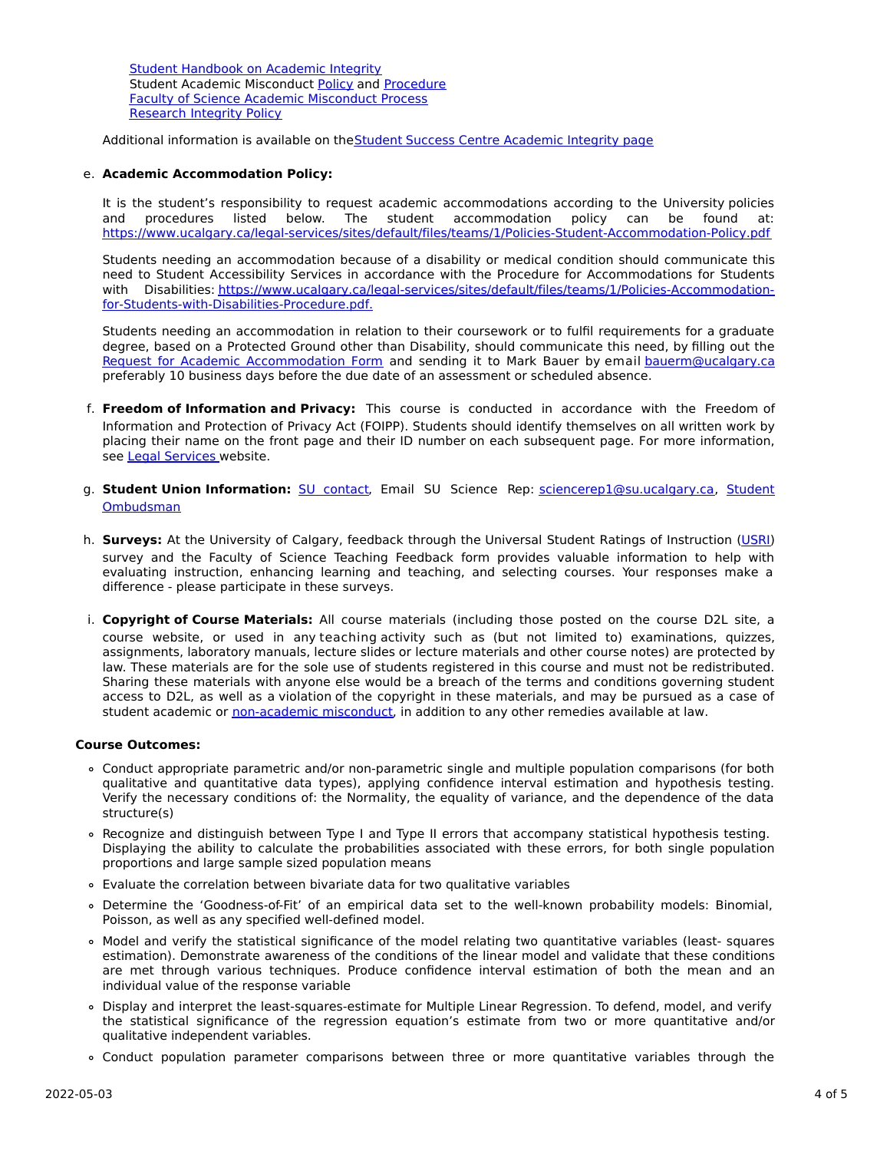Student [Handbook](https://www.ucalgary.ca/live-uc-ucalgary-site/sites/default/files/teams/9/AI-Student-handbook-1.pdf) on Academic Integrity Student Academic Misconduct [Policy](https://www.ucalgary.ca/legal-services/sites/default/files/teams/1/Policies-Student-Academic-Misconduct-Policy.pdf) and [Procedure](https://www.ucalgary.ca/legal-services/sites/default/files/teams/1/Policies-Student-Academic-Misconduct-Procedure.pdf) Faculty of Science Academic [Misconduct](https://science.ucalgary.ca/current-students/undergraduate/program-advising) Process [Research](https://www.ucalgary.ca/legal-services/sites/default/files/teams/1/Policies-Research-Integrity-Policy.pdf) Integrity Policy

Additional information is available on the Student Success Centre [Academic](https://ucalgary.ca/student-services/student-success/learning/academic-integrity) Integrity page

#### e. **Academic Accommodation Policy:**

It is the student's responsibility to request academic accommodations according to the University policies and procedures listed below. The student accommodation policy can be found at: <https://www.ucalgary.ca/legal-services/sites/default/files/teams/1/Policies-Student-Accommodation-Policy.pdf>

Students needing an accommodation because of a disability or medical condition should communicate this need to Student Accessibility Services in accordance with the Procedure for Accommodations for Students with Disabilities: [https://www.ucalgary.ca/legal-services/sites/default/files/teams/1/Policies-Accommodation](https://www.ucalgary.ca/legal-services/sites/default/files/teams/1/Policies-Accommodation-for-Students-with-Disabilities-Procedure.pdf)for-Students-with-Disabilities-Procedure.pdf.

Students needing an accommodation in relation to their coursework or to fulfil requirements for a graduate degree, based on a Protected Ground other than Disability, should communicate this need, by filling out the Request for Academic [Accommodation](https://science.ucalgary.ca/sites/default/files/teams/1/request-accommodation-academic-courses.pdf) Form and sending it to Mark Bauer by email [bauerm@ucalgary.ca](mailto:bauerm@ucalgary.ca) preferably 10 business days before the due date of an assessment or scheduled absence.

- f. **Freedom of Information and Privacy:** This course is conducted in accordance with the Freedom of Information and Protection of Privacy Act (FOIPP). Students should identify themselves on all written work by placing their name on the front page and their ID number on each subsequent page. For more information, see Legal [Services](https://www.ucalgary.ca/legal-services/access-information-privacy) website.
- g. **Student Union Information:** SU [contact,](http://www.su.ucalgary.ca/contact) Email SU Science Rep: [sciencerep1@su.ucalgary.ca,](https://www.ucalgary.ca/student-services/ombuds) Student Ombudsman
- h. **Surveys:** At the University of Calgary, feedback through the Universal Student Ratings of Instruction [\(USRI](http://www.ucalgary.ca/usri)) survey and the Faculty of Science Teaching Feedback form provides valuable information to help with evaluating instruction, enhancing learning and teaching, and selecting courses. Your responses make a difference - please participate in these surveys.
- i. **Copyright of Course Materials:** All course materials (including those posted on the course D2L site, a course website, or used in any teaching activity such as (but not limited to) examinations, quizzes, assignments, laboratory manuals, lecture slides or lecture materials and other course notes) are protected by law. These materials are for the sole use of students registered in this course and must not be redistributed. Sharing these materials with anyone else would be a breach of the terms and conditions governing student access to D2L, as well as a violation of the copyright in these materials, and may be pursued as a case of student academic or [non-academic](https://www.ucalgary.ca/conduct/policy/non-academic-misconduct-policy) misconduct, in addition to any other remedies available at law.

#### **Course Outcomes:**

- Conduct appropriate parametric and/or non-parametric single and multiple population comparisons (for both qualitative and quantitative data types), applying confidence interval estimation and hypothesis testing. Verify the necessary conditions of: the Normality, the equality of variance, and the dependence of the data structure(s)
- Recognize and distinguish between Type I and Type II errors that accompany statistical hypothesis testing. Displaying the ability to calculate the probabilities associated with these errors, for both single population proportions and large sample sized population means
- Evaluate the correlation between bivariate data for two qualitative variables
- Determine the 'Goodness-of-Fit' of an empirical data set to the well-known probability models: Binomial, Poisson, as well as any specified well-defined model.
- Model and verify the statistical significance of the model relating two quantitative variables (least- squares estimation). Demonstrate awareness of the conditions of the linear model and validate that these conditions are met through various techniques. Produce confidence interval estimation of both the mean and an individual value of the response variable
- Display and interpret the least-squares-estimate for Multiple Linear Regression. To defend, model, and verify the statistical significance of the regression equation's estimate from two or more quantitative and/or qualitative independent variables.
- Conduct population parameter comparisons between three or more quantitative variables through the